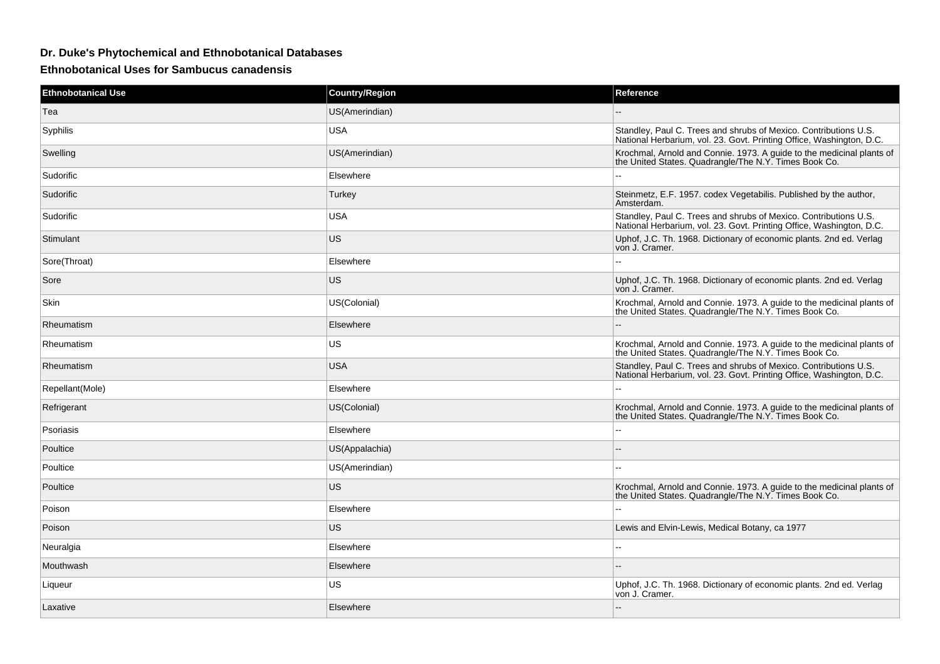## **Dr. Duke's Phytochemical and Ethnobotanical Databases**

**Ethnobotanical Uses for Sambucus canadensis**

| <b>Ethnobotanical Use</b> | <b>Country/Region</b> | Reference                                                                                                                                |
|---------------------------|-----------------------|------------------------------------------------------------------------------------------------------------------------------------------|
| Tea                       | US(Amerindian)        |                                                                                                                                          |
| Syphilis                  | <b>USA</b>            | Standley, Paul C. Trees and shrubs of Mexico. Contributions U.S.<br>National Herbarium, vol. 23. Govt. Printing Office, Washington, D.C. |
| Swelling                  | US(Amerindian)        | Krochmal, Arnold and Connie. 1973. A quide to the medicinal plants of<br>the United States. Quadrangle/The N.Y. Times Book Co.           |
| Sudorific                 | Elsewhere             |                                                                                                                                          |
| Sudorific                 | Turkey                | Steinmetz, E.F. 1957. codex Vegetabilis. Published by the author,<br>Amsterdam.                                                          |
| Sudorific                 | <b>USA</b>            | Standley, Paul C. Trees and shrubs of Mexico. Contributions U.S.<br>National Herbarium, vol. 23. Govt. Printing Office, Washington, D.C. |
| Stimulant                 | <b>US</b>             | Uphof, J.C. Th. 1968. Dictionary of economic plants. 2nd ed. Verlag<br>von J. Cramer.                                                    |
| Sore(Throat)              | Elsewhere             |                                                                                                                                          |
| Sore                      | <b>US</b>             | Uphof, J.C. Th. 1968. Dictionary of economic plants. 2nd ed. Verlag<br>von J. Cramer.                                                    |
| Skin                      | US(Colonial)          | Krochmal, Arnold and Connie. 1973. A guide to the medicinal plants of<br>the United States. Quadrangle/The N.Y. Times Book Co.           |
| Rheumatism                | Elsewhere             |                                                                                                                                          |
| Rheumatism                | <b>US</b>             | Krochmal, Arnold and Connie. 1973. A guide to the medicinal plants of<br>the United States. Quadrangle/The N.Y. Times Book Co.           |
| Rheumatism                | <b>USA</b>            | Standley, Paul C. Trees and shrubs of Mexico. Contributions U.S.<br>National Herbarium, vol. 23. Govt. Printing Office, Washington, D.C. |
| Repellant(Mole)           | Elsewhere             | --                                                                                                                                       |
| Refrigerant               | US(Colonial)          | Krochmal, Arnold and Connie. 1973. A guide to the medicinal plants of the United States. Quadrangle/The N.Y. Times Book Co.              |
| Psoriasis                 | Elsewhere             | $\overline{a}$                                                                                                                           |
| Poultice                  | US(Appalachia)        |                                                                                                                                          |
| Poultice                  | US(Amerindian)        |                                                                                                                                          |
| Poultice                  | US                    | Krochmal, Arnold and Connie. 1973. A guide to the medicinal plants of<br>the United States. Quadrangle/The N.Y. Times Book Co.           |
| Poison                    | Elsewhere             |                                                                                                                                          |
| Poison                    | US                    | Lewis and Elvin-Lewis, Medical Botany, ca 1977                                                                                           |
| Neuralgia                 | Elsewhere             | $\overline{a}$                                                                                                                           |
| Mouthwash                 | Elsewhere             |                                                                                                                                          |
| Liqueur                   | US                    | Uphof, J.C. Th. 1968. Dictionary of economic plants. 2nd ed. Verlag<br>von J. Cramer.                                                    |
| Laxative                  | Elsewhere             |                                                                                                                                          |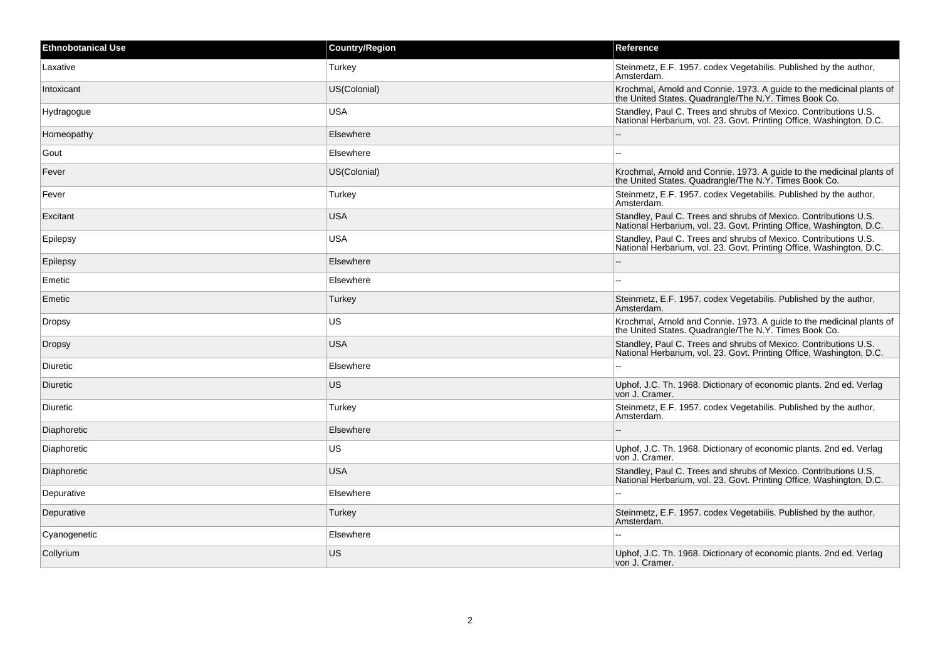| Ethnobotanical Use | <b>Country/Region</b> | Reference                                                                                                                                |
|--------------------|-----------------------|------------------------------------------------------------------------------------------------------------------------------------------|
| Laxative           | Turkey                | Steinmetz, E.F. 1957. codex Vegetabilis. Published by the author,<br>Amsterdam.                                                          |
| Intoxicant         | US(Colonial)          | Krochmal, Arnold and Connie. 1973. A guide to the medicinal plants of<br>the United States. Quadrangle/The N.Y. Times Book Co.           |
| Hydragogue         | <b>USA</b>            | Standley, Paul C. Trees and shrubs of Mexico. Contributions U.S.<br>National Herbarium, vol. 23. Govt. Printing Office, Washington, D.C. |
| Homeopathy         | Elsewhere             |                                                                                                                                          |
| Gout               | Elsewhere             | $\overline{a}$                                                                                                                           |
| Fever              | US(Colonial)          | Krochmal, Arnold and Connie. 1973. A guide to the medicinal plants of<br>the United States. Quadrangle/The N.Y. Times Book Co.           |
| Fever              | Turkey                | Steinmetz, E.F. 1957. codex Vegetabilis. Published by the author,<br>Amsterdam.                                                          |
| Excitant           | <b>USA</b>            | Standley, Paul C. Trees and shrubs of Mexico. Contributions U.S.<br>National Herbarium, vol. 23. Govt. Printing Office, Washington, D.C. |
| Epilepsy           | <b>USA</b>            | Standley, Paul C. Trees and shrubs of Mexico. Contributions U.S.<br>National Herbarium, vol. 23. Govt. Printing Office, Washington, D.C. |
| Epilepsy           | Elsewhere             | $\sim$ $\sim$                                                                                                                            |
| Emetic             | Elsewhere             | $\overline{a}$                                                                                                                           |
| Emetic             | Turkey                | Steinmetz, E.F. 1957. codex Vegetabilis. Published by the author,<br>Amsterdam.                                                          |
| Dropsy             | US                    | Krochmal, Arnold and Connie. 1973. A guide to the medicinal plants of<br>the United States. Quadrangle/The N.Y. Times Book Co.           |
| <b>Dropsy</b>      | <b>USA</b>            | Standley, Paul C. Trees and shrubs of Mexico. Contributions U.S.<br>National Herbarium, vol. 23. Govt. Printing Office, Washington, D.C. |
| Diuretic           | Elsewhere             | $\mathbf{L}$                                                                                                                             |
| Diuretic           | US                    | Uphof, J.C. Th. 1968. Dictionary of economic plants. 2nd ed. Verlag<br>von J. Cramer.                                                    |
| Diuretic           | Turkey                | Steinmetz, E.F. 1957. codex Vegetabilis. Published by the author,<br>Amsterdam.                                                          |
| Diaphoretic        | Elsewhere             |                                                                                                                                          |
| Diaphoretic        | US                    | Uphof, J.C. Th. 1968. Dictionary of economic plants. 2nd ed. Verlag<br>von J. Cramer.                                                    |
| Diaphoretic        | <b>USA</b>            | Standley, Paul C. Trees and shrubs of Mexico. Contributions U.S.<br>National Herbarium, vol. 23. Govt. Printing Office, Washington, D.C. |
| Depurative         | Elsewhere             | $\sim$                                                                                                                                   |
| Depurative         | Turkey                | Steinmetz, E.F. 1957. codex Vegetabilis. Published by the author,<br>Amsterdam.                                                          |
| Cyanogenetic       | Elsewhere             |                                                                                                                                          |
| Collyrium          | <b>US</b>             | Uphof, J.C. Th. 1968. Dictionary of economic plants. 2nd ed. Verlag<br>von J. Cramer.                                                    |